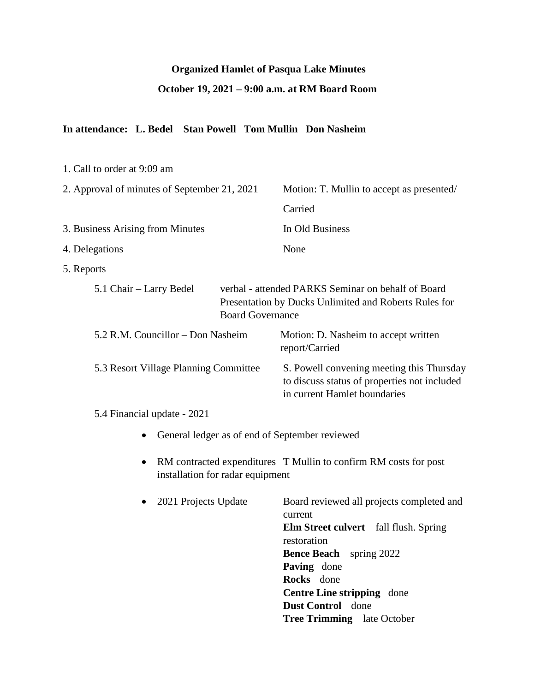### **Organized Hamlet of Pasqua Lake Minutes**

## **October 19, 2021 – 9:00 a.m. at RM Board Room**

## **In attendance: L. Bedel Stan Powell Tom Mullin Don Nasheim**

| 1. Call to order at 9:09 am                    |                                                                                                                                                                      |
|------------------------------------------------|----------------------------------------------------------------------------------------------------------------------------------------------------------------------|
| 2. Approval of minutes of September 21, 2021   | Motion: T. Mullin to accept as presented/                                                                                                                            |
|                                                | Carried                                                                                                                                                              |
| 3. Business Arising from Minutes               | In Old Business                                                                                                                                                      |
| 4. Delegations                                 | None                                                                                                                                                                 |
| 5. Reports                                     |                                                                                                                                                                      |
| 5.1 Chair – Larry Bedel                        | verbal - attended PARKS Seminar on behalf of Board<br>Presentation by Ducks Unlimited and Roberts Rules for<br><b>Board Governance</b>                               |
| 5.2 R.M. Councillor – Don Nasheim              | Motion: D. Nasheim to accept written<br>report/Carried                                                                                                               |
| 5.3 Resort Village Planning Committee          | S. Powell convening meeting this Thursday<br>to discuss status of properties not included<br>in current Hamlet boundaries                                            |
| 5.4 Financial update - 2021                    |                                                                                                                                                                      |
| General ledger as of end of September reviewed |                                                                                                                                                                      |
| installation for radar equipment               | RM contracted expenditures T Mullin to confirm RM costs for post                                                                                                     |
| 2021 Projects Update<br>$\bullet$              | Board reviewed all projects completed and<br>current<br>Elm Street culvert fall flush. Spring<br>restoration<br><b>Bence Beach</b> spring 2022<br><b>Paving</b> done |

**Paving** done **Rocks** done **Centre Line stripping** done **Dust Control** done **Tree Trimming** late October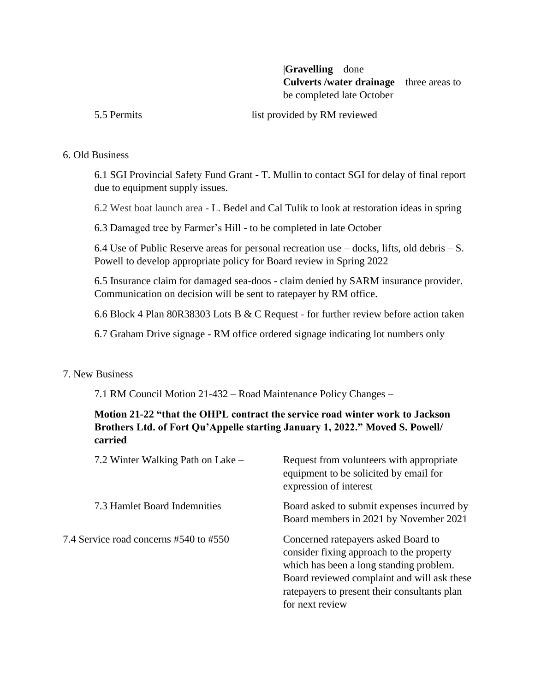|**Gravelling** done **Culverts /water drainage** three areas to be completed late October

5.5 Permits list provided by RM reviewed

#### 6. Old Business

6.1 SGI Provincial Safety Fund Grant - T. Mullin to contact SGI for delay of final report due to equipment supply issues.

6.2 West boat launch area - L. Bedel and Cal Tulik to look at restoration ideas in spring

6.3 Damaged tree by Farmer's Hill - to be completed in late October

6.4 Use of Public Reserve areas for personal recreation use – docks, lifts, old debris – S. Powell to develop appropriate policy for Board review in Spring 2022

6.5 Insurance claim for damaged sea-doos - claim denied by SARM insurance provider. Communication on decision will be sent to ratepayer by RM office.

6.6 Block 4 Plan 80R38303 Lots B & C Request - for further review before action taken

6.7 Graham Drive signage - RM office ordered signage indicating lot numbers only

#### 7. New Business

7.1 RM Council Motion 21-432 – Road Maintenance Policy Changes –

### **Motion 21-22 "that the OHPL contract the service road winter work to Jackson Brothers Ltd. of Fort Qu'Appelle starting January 1, 2022." Moved S. Powell/ carried**

| 7.2 Winter Walking Path on Lake –      | Request from volunteers with appropriate<br>equipment to be solicited by email for<br>expression of interest                                                                                                                                  |
|----------------------------------------|-----------------------------------------------------------------------------------------------------------------------------------------------------------------------------------------------------------------------------------------------|
| 7.3 Hamlet Board Indemnities           | Board asked to submit expenses incurred by<br>Board members in 2021 by November 2021                                                                                                                                                          |
| 7.4 Service road concerns #540 to #550 | Concerned ratepayers asked Board to<br>consider fixing approach to the property<br>which has been a long standing problem.<br>Board reviewed complaint and will ask these<br>rate payers to present their consultants plan<br>for next review |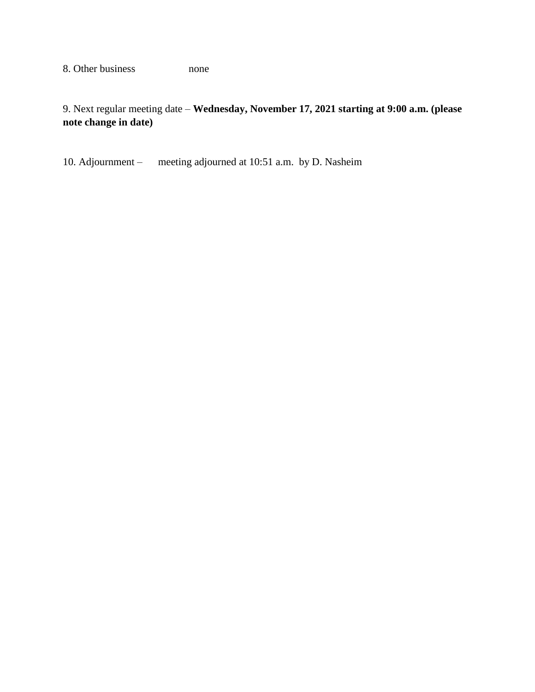8. Other business none

9. Next regular meeting date – **Wednesday, November 17, 2021 starting at 9:00 a.m. (please note change in date)**

10. Adjournment – meeting adjourned at 10:51 a.m. by D. Nasheim